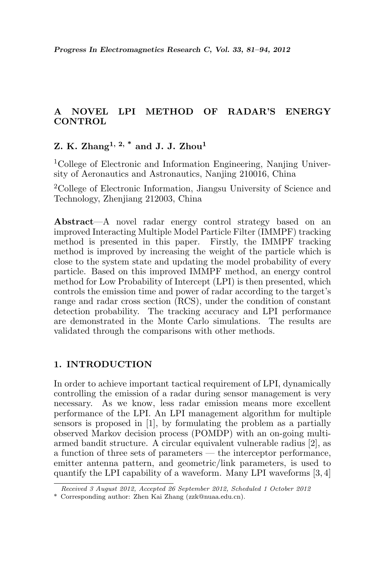# A NOVEL LPI METHOD OF RADAR'S ENERGY **CONTROL**

# Z. K. Zhang<sup>1, 2, \*</sup> and J. J. Zhou<sup>1</sup>

<sup>1</sup>College of Electronic and Information Engineering, Nanjing University of Aeronautics and Astronautics, Nanjing 210016, China

<sup>2</sup>College of Electronic Information, Jiangsu University of Science and Technology, Zhenjiang 212003, China

Abstract—A novel radar energy control strategy based on an improved Interacting Multiple Model Particle Filter (IMMPF) tracking method is presented in this paper. Firstly, the IMMPF tracking method is improved by increasing the weight of the particle which is close to the system state and updating the model probability of every particle. Based on this improved IMMPF method, an energy control method for Low Probability of Intercept (LPI) is then presented, which controls the emission time and power of radar according to the target's range and radar cross section (RCS), under the condition of constant detection probability. The tracking accuracy and LPI performance are demonstrated in the Monte Carlo simulations. The results are validated through the comparisons with other methods.

## 1. INTRODUCTION

In order to achieve important tactical requirement of LPI, dynamically controlling the emission of a radar during sensor management is very necessary. As we know, less radar emission means more excellent performance of the LPI. An LPI management algorithm for multiple sensors is proposed in [1], by formulating the problem as a partially observed Markov decision process (POMDP) with an on-going multiarmed bandit structure. A circular equivalent vulnerable radius [2], as a function of three sets of parameters — the interceptor performance, emitter antenna pattern, and geometric/link parameters, is used to quantify the LPI capability of a waveform. Many LPI waveforms [3, 4]

Received 3 August 2012, Accepted 26 September 2012, Scheduled 1 October 2012

<sup>\*</sup> Corresponding author: Zhen Kai Zhang (zzk@nuaa.edu.cn).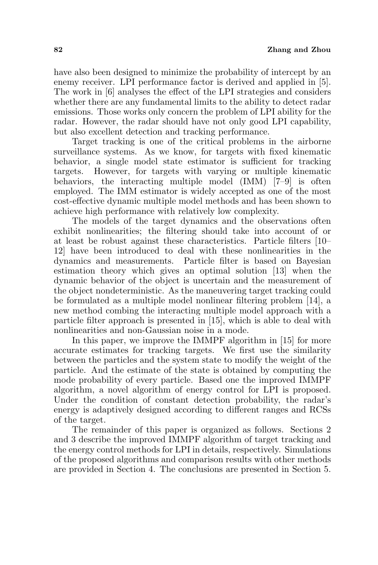have also been designed to minimize the probability of intercept by an enemy receiver. LPI performance factor is derived and applied in [5]. The work in [6] analyses the effect of the LPI strategies and considers whether there are any fundamental limits to the ability to detect radar emissions. Those works only concern the problem of LPI ability for the radar. However, the radar should have not only good LPI capability, but also excellent detection and tracking performance.

Target tracking is one of the critical problems in the airborne surveillance systems. As we know, for targets with fixed kinematic behavior, a single model state estimator is sufficient for tracking targets. However, for targets with varying or multiple kinematic behaviors, the interacting multiple model (IMM) [7–9] is often employed. The IMM estimator is widely accepted as one of the most cost-effective dynamic multiple model methods and has been shown to achieve high performance with relatively low complexity.

The models of the target dynamics and the observations often exhibit nonlinearities; the filtering should take into account of or at least be robust against these characteristics. Particle filters [10– 12] have been introduced to deal with these nonlinearities in the dynamics and measurements. Particle filter is based on Bayesian estimation theory which gives an optimal solution [13] when the dynamic behavior of the object is uncertain and the measurement of the object nondeterministic. As the maneuvering target tracking could be formulated as a multiple model nonlinear filtering problem [14], a new method combing the interacting multiple model approach with a particle filter approach is presented in [15], which is able to deal with nonlinearities and non-Gaussian noise in a mode.

In this paper, we improve the IMMPF algorithm in [15] for more accurate estimates for tracking targets. We first use the similarity between the particles and the system state to modify the weight of the particle. And the estimate of the state is obtained by computing the mode probability of every particle. Based one the improved IMMPF algorithm, a novel algorithm of energy control for LPI is proposed. Under the condition of constant detection probability, the radar's energy is adaptively designed according to different ranges and RCSs of the target.

The remainder of this paper is organized as follows. Sections 2 and 3 describe the improved IMMPF algorithm of target tracking and the energy control methods for LPI in details, respectively. Simulations of the proposed algorithms and comparison results with other methods are provided in Section 4. The conclusions are presented in Section 5.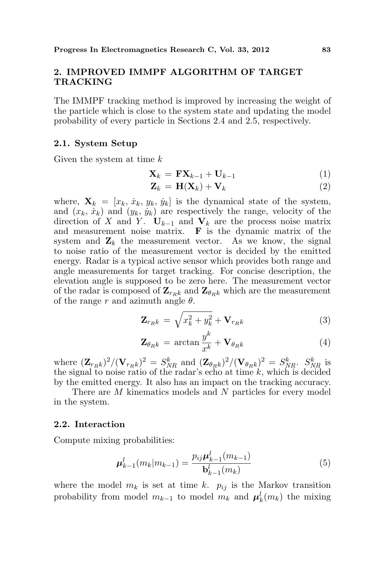## 2. IMPROVED IMMPF ALGORITHM OF TARGET TRACKING

The IMMPF tracking method is improved by increasing the weight of the particle which is close to the system state and updating the model probability of every particle in Sections 2.4 and 2.5, respectively.

#### 2.1. System Setup

Given the system at time k

$$
\mathbf{X}_k = \mathbf{F} \mathbf{X}_{k-1} + \mathbf{U}_{k-1} \tag{1}
$$

$$
\mathbf{Z}_k = \mathbf{H}(\mathbf{X}_k) + \mathbf{V}_k \tag{2}
$$

where,  $\mathbf{X}_k = [x_k, \dot{x}_k, y_k, \dot{y}_k]$  is the dynamical state of the system, and  $(x_k, \dot{x}_k)$  and  $(y_k, \dot{y}_k)$  are respectively the range, velocity of the direction of X and Y.  $U_{k-1}$  and  $V_k$  are the process noise matrix and measurement noise matrix.  $\bf{F}$  is the dynamic matrix of the system and  $\mathbf{Z}_k$  the measurement vector. As we know, the signal to noise ratio of the measurement vector is decided by the emitted energy. Radar is a typical active sensor which provides both range and angle measurements for target tracking. For concise description, the elevation angle is supposed to be zero here. The measurement vector of the radar is composed of  $\mathbf{Z}_{r_Rk}$  and  $\mathbf{Z}_{\theta_{Rk}}$  which are the measurement of the range r and azimuth angle  $\theta$ .

$$
\mathbf{Z}_{r_{R}k} = \sqrt{x_{k}^{2} + y_{k}^{2}} + \mathbf{V}_{r_{R}k}
$$
 (3)

$$
\mathbf{Z}_{\theta_{R}k} = \arctan\frac{y^{k}}{x^{k}} + \mathbf{V}_{\theta_{R}k}
$$
(4)

where  $(\mathbf{Z}_{r_Rk})^2/(\mathbf{V}_{r_Rk})^2 = S_{NR}^k$  and  $(\mathbf{Z}_{\theta_Rk})^2/(\mathbf{V}_{\theta_Rk})^2 = S_{NR}^k$ .  $S_{NR}^k$  is the signal to noise ratio of the radar's echo at time  $k$ , which is decided by the emitted energy. It also has an impact on the tracking accuracy.

There are M kinematics models and N particles for every model in the system.

#### 2.2. Interaction

Compute mixing probabilities:

$$
\mu_{k-1}^l(m_k|m_{k-1}) = \frac{p_{ij}\mu_{k-1}^l(m_{k-1})}{\mathbf{b}_{k-1}^l(m_k)}
$$
(5)

where the model  $m_k$  is set at time k.  $p_{ij}$  is the Markov transition probability from model  $m_{k-1}$  to model  $m_k$  and  $\boldsymbol{\mu}_k^l(m_k)$  the mixing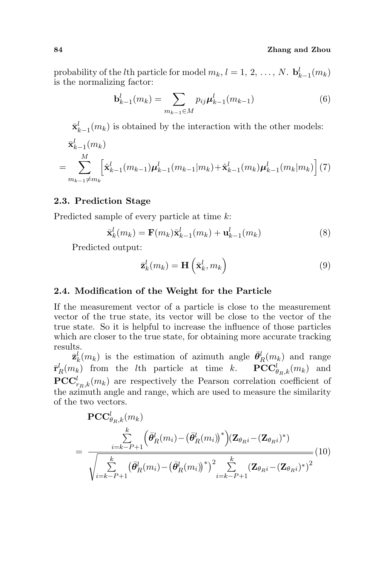probability of the *l*<sup>th</sup> particle for model  $m_k$ ,  $l = 1, 2, ..., N$ .  $\mathbf{b}_{k-1}^l(m_k)$ is the normalizing factor:

$$
\mathbf{b}_{k-1}^l(m_k) = \sum_{m_{k-1} \in M} p_{ij} \mu_{k-1}^l(m_{k-1})
$$
 (6)

 $\bar{\mathbf{x}}_{k-1}^l(m_k)$  is obtained by the interaction with the other models:  $\bar{\mathbf{x}}_{k-1}^l(m_k)$ 

$$
=\sum_{m_{k-1}\neq m_k}^{M} \left[\hat{\mathbf{x}}_{k-1}^l(m_{k-1})\boldsymbol{\mu}_{k-1}^l(m_{k-1}|m_k)+\hat{\mathbf{x}}_{k-1}^l(m_k)\boldsymbol{\mu}_{k-1}^l(m_k|m_k)\right](7)
$$

## 2.3. Prediction Stage

Predicted sample of every particle at time k:

$$
\bar{\mathbf{x}}_k^l(m_k) = \mathbf{F}(m_k)\bar{\mathbf{x}}_{k-1}^l(m_k) + \mathbf{u}_{k-1}^l(m_k)
$$
\n(8)

Predicted output:

$$
\bar{\mathbf{z}}_k^l(m_k) = \mathbf{H}\left(\bar{\mathbf{x}}_k^l, m_k\right) \tag{9}
$$

## 2.4. Modification of the Weight for the Particle

If the measurement vector of a particle is close to the measurement vector of the true state, its vector will be close to the vector of the true state. So it is helpful to increase the influence of those particles which are closer to the true state, for obtaining more accurate tracking results.

 $\bar{\mathbf{z}}_k^l(m_k)$  is the estimation of azimuth angle  $\bar{\theta}_R^l(m_k)$  and range  $\bar{\mathbf{r}}_R^l(m_k)$  from the *l*th particle at time *k*.  $\mathbf{PCC}^l_{\theta_R,k}(m_k)$  and  $\mathbf{PCC}_{r_R,k}^l(m_k)$  are respectively the Pearson correlation coefficient of the azimuth angle and range, which are used to measure the similarity of the two vectors.

$$
\begin{split} \n\text{PCC}_{\theta_{R},k}^{l}(m_{k}) \\
= \frac{\sum_{i=k-P+1}^{k} \left( \bar{\theta}_{R}^{l}(m_{i}) - (\bar{\theta}_{R}^{l}(m_{i}))^{*} \right) (\mathbf{Z}_{\theta_{R}i} - (\mathbf{Z}_{\theta_{R}i})^{*})}{\sqrt{\sum_{i=k-P+1}^{k} \left( \bar{\theta}_{R}^{l}(m_{i}) - (\bar{\theta}_{R}^{l}(m_{i}))^{*} \right)^{2} \sum_{i=k-P+1}^{k} (\mathbf{Z}_{\theta_{R}i} - (\mathbf{Z}_{\theta_{R}i})^{*})^{2}}} (10)\n\end{split}
$$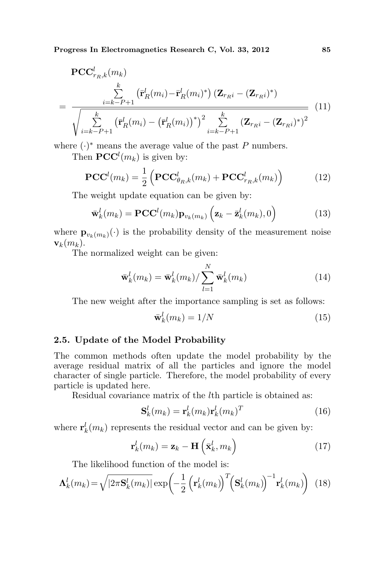Progress In Electromagnetics Research C, Vol. 33, 2012 85

$$
\begin{split} \n\text{PCC}_{r_R,k}^l(m_k) \\
&= \frac{\sum\limits_{i=k-P+1}^k \left(\bar{\mathbf{r}}_R^l(m_i) - \bar{\mathbf{r}}_R^l(m_i)^*\right) (\mathbf{Z}_{r_R i} - (\mathbf{Z}_{r_R i})^*)}{\sqrt{\sum\limits_{i=k-P+1}^k \left(\bar{\mathbf{r}}_R^l(m_i) - (\bar{\mathbf{r}}_R^l(m_i))^*\right)^2 \sum\limits_{i=k-P+1}^k (\mathbf{Z}_{r_R i} - (\mathbf{Z}_{r_R i})^*)^2} \n\end{split} \tag{11}
$$

where  $(\cdot)^*$  means the average value of the past P numbers.

Then  $\mathbf{PCC}^{l}(m_k)$  is given by:

$$
\mathbf{PCC}^{l}(m_{k}) = \frac{1}{2} \left( \mathbf{PCC}_{\theta_{R},k}^{l}(m_{k}) + \mathbf{PCC}_{r_{R},k}^{l}(m_{k}) \right)
$$
(12)

The weight update equation can be given by:

$$
\bar{\mathbf{w}}_k^l(m_k) = \mathbf{PCC}^l(m_k)\mathbf{p}_{v_k(m_k)}\left(\mathbf{z}_k - \bar{\mathbf{z}}_k^l(m_k), 0\right)
$$
(13)

where  $\mathbf{p}_{v_k(m_k)}(\cdot)$  is the probability density of the measurement noise  $\mathbf{v}_k(m_k)$ .

The normalized weight can be given:

$$
\bar{\mathbf{w}}_k^l(m_k) = \bar{\mathbf{w}}_k^l(m_k) / \sum_{l=1}^N \bar{\mathbf{w}}_k^l(m_k)
$$
\n(14)

The new weight after the importance sampling is set as follows:

$$
\bar{\mathbf{w}}_k^l(m_k) = 1/N \tag{15}
$$

## 2.5. Update of the Model Probability

The common methods often update the model probability by the average residual matrix of all the particles and ignore the model character of single particle. Therefore, the model probability of every particle is updated here.

Residual covariance matrix of the lth particle is obtained as:

$$
\mathbf{S}_k^l(m_k) = \mathbf{r}_k^l(m_k)\mathbf{r}_k^l(m_k)^T
$$
 (16)

where  $\mathbf{r}_k^l(m_k)$  represents the residual vector and can be given by:

$$
\mathbf{r}_k^l(m_k) = \mathbf{z}_k - \mathbf{H}\left(\bar{\mathbf{x}}_k^l, m_k\right)
$$
 (17)

The likelihood function of the model is:

$$
\Lambda_k^l(m_k) = \sqrt{|2\pi \mathbf{S}_k^l(m_k)|} \exp\left(-\frac{1}{2} \left(\mathbf{r}_k^l(m_k)\right)^T \left(\mathbf{S}_k^l(m_k)\right)^{-1} \mathbf{r}_k^l(m_k)\right) \tag{18}
$$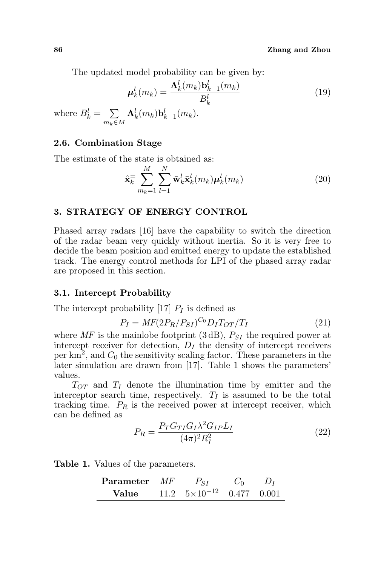The updated model probability can be given by:

$$
\mu_k^l(m_k) = \frac{\Lambda_k^l(m_k)\mathbf{b}_{k-1}^l(m_k)}{B_k^l}
$$
\n(19)

where  $B_k^l =$  $\overline{ }$  $m_k \in M$  $\mathbf{\Lambda}_k^l (m_k) \mathbf{b}_{k-1}^l (m_k).$ 

### 2.6. Combination Stage

The estimate of the state is obtained as:

$$
\hat{\mathbf{x}}_k = \sum_{m_k=1}^M \sum_{l=1}^N \bar{\mathbf{w}}_k^l \bar{\mathbf{x}}_k^l(m_k) \boldsymbol{\mu}_k^l(m_k)
$$
\n(20)

## 3. STRATEGY OF ENERGY CONTROL

Phased array radars [16] have the capability to switch the direction of the radar beam very quickly without inertia. So it is very free to decide the beam position and emitted energy to update the established track. The energy control methods for LPI of the phased array radar are proposed in this section.

### 3.1. Intercept Probability

The intercept probability [17]  $P_I$  is defined as

$$
P_I = MF(2P_R/P_{SI})^{C_0} D_I T_{OT}/T_I
$$
\n(21)

where  $MF$  is the mainlobe footprint (3 dB),  $P_{SI}$  the required power at intercept receiver for detection,  $D_I$  the density of intercept receivers per  $\text{km}^2$ , and  $C_0$  the sensitivity scaling factor. These parameters in the later simulation are drawn from [17]. Table 1 shows the parameters' values.

 $T_{OT}$  and  $T_I$  denote the illumination time by emitter and the interceptor search time, respectively.  $T_I$  is assumed to be the total tracking time.  $P_R$  is the received power at intercept receiver, which can be defined as

$$
P_R = \frac{P_T G_{TI} G_I \lambda^2 G_{IP} L_I}{(4\pi)^2 R_I^2} \tag{22}
$$

Table 1. Values of the parameters.

| Parameter | МF   | CT                  |       |       |
|-----------|------|---------------------|-------|-------|
| Value     | 11 Z | $5\times10^{-12}$ 0 | 0.477 | 0.001 |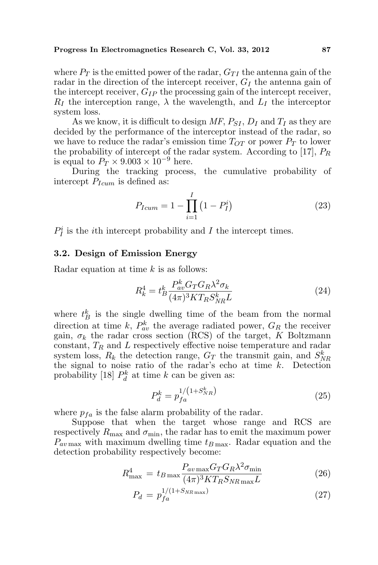where  $P_T$  is the emitted power of the radar,  $G_{TI}$  the antenna gain of the radar in the direction of the intercept receiver,  $G_I$  the antenna gain of the intercept receiver,  $G_{IP}$  the processing gain of the intercept receiver,  $R_I$  the interception range,  $\lambda$  the wavelength, and  $L_I$  the interceptor system loss.

As we know, it is difficult to design MF,  $P_{SI}$ ,  $D_I$  and  $T_I$  as they are decided by the performance of the interceptor instead of the radar, so we have to reduce the radar's emission time  $T_{OT}$  or power  $P_T$  to lower the probability of intercept of the radar system. According to [17],  $P_R$ is equal to  $P_T \times 9.003 \times 10^{-9}$  here.

During the tracking process, the cumulative probability of intercept  $P_{Icum}$  is defined as:

$$
P_{Icum} = 1 - \prod_{i=1}^{I} (1 - P_I^i)
$$
 (23)

 $P_I^i$  is the *i*<sup>th</sup> intercept probability and *I* the intercept times.

#### 3.2. Design of Emission Energy

Radar equation at time  $k$  is as follows:

$$
R_k^4 = t_B^k \frac{P_{av}^k G_T G_R \lambda^2 \sigma_k}{(4\pi)^3 K T_R S_{NR}^k L} \tag{24}
$$

where  $t_B^k$  is the single dwelling time of the beam from the normal direction at time k,  $P_{av}^{k}$  the average radiated power,  $G_R$  the receiver gain,  $\sigma_k$  the radar cross section (RCS) of the target, K Boltzmann constant,  $T_R$  and  $L$  respectively effective noise temperature and radar system loss,  $R_k$  the detection range,  $G_T$  the transmit gain, and  $S_{NR}^k$ the signal to noise ratio of the radar's echo at time  $k$ . Detection probability [18]  $P_d^k$  at time k can be given as:

$$
P_d^k = p_{fa}^{1/(1+S_{NR}^k)}
$$
 (25)

where  $p_{fa}$  is the false alarm probability of the radar.

Suppose that when the target whose range and RCS are respectively  $R_{\text{max}}$  and  $\sigma_{\text{min}}$ , the radar has to emit the maximum power  $P_{av \text{max}}$  with maximum dwelling time  $t_{B \text{max}}$ . Radar equation and the detection probability respectively become:

$$
R_{\text{max}}^4 = t_{B \max} \frac{P_{av \max} G_T G_R \lambda^2 \sigma_{\min}}{(4\pi)^3 K T_R S_{NR \max} L}
$$
(26)

$$
P_d = p_{fa}^{1/(1+S_{NR\max})} \tag{27}
$$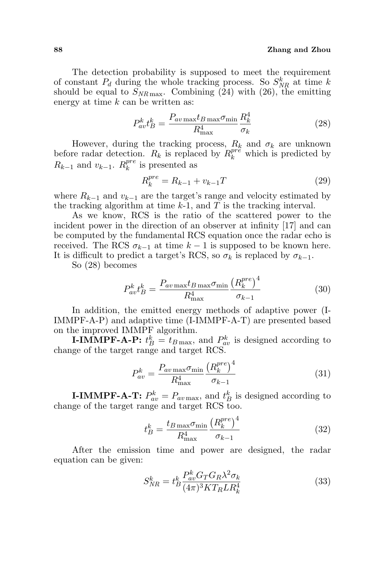#### 88 Zhang and Zhou

The detection probability is supposed to meet the requirement of constant  $P_d$  during the whole tracking process. So  $S_{NR}^k$  at time k should be equal to  $S_{NR\,\text{max}}$ . Combining (24) with (26), the emitting energy at time  $k$  can be written as:

$$
P_{av}^k t_B^k = \frac{P_{av\max} t_{B\max} \sigma_{\min}}{R_{\max}^4} \frac{R_k^4}{\sigma_k} \tag{28}
$$

However, during the tracking process,  $R_k$  and  $\sigma_k$  are unknown before radar detection.  $R_k$  is replaced by  $R_k^{pr\hat{e}}$  which is predicted by  $R_{k-1}$  and  $v_{k-1}$ .  $R_k^{pre}$  $_k^{pre}$  is presented as

$$
R_k^{pre} = R_{k-1} + v_{k-1}T \tag{29}
$$

where  $R_{k-1}$  and  $v_{k-1}$  are the target's range and velocity estimated by the tracking algorithm at time  $k-1$ , and T is the tracking interval.

As we know, RCS is the ratio of the scattered power to the incident power in the direction of an observer at infinity [17] and can be computed by the fundamental RCS equation once the radar echo is received. The RCS  $\sigma_{k-1}$  at time  $k-1$  is supposed to be known here. It is difficult to predict a target's RCS, so  $\sigma_k$  is replaced by  $\sigma_{k-1}$ .

So (28) becomes

$$
P_{av}^k t_B^k = \frac{P_{av \max} t_{B \max} \sigma_{\min} \left(R_k^{pre}\right)^4}{R_{\max}^4} \qquad (30)
$$

In addition, the emitted energy methods of adaptive power (I-IMMPF-A-P) and adaptive time (I-IMMPF-A-T) are presented based on the improved IMMPF algorithm.

**I-IMMPF-A-P:**  $t_B^k = t_{B\max}$ , and  $P_{aw}^k$  is designed according to change of the target range and target RCS.

$$
P_{av}^k = \frac{P_{av\max} \sigma_{\min} \left(R_k^{pre}\right)^4}{R_{\max}^4} \qquad (31)
$$

**I-IMMPF-A-T:**  $P_{av}^k = P_{av \max}$ , and  $t_B^k$  is designed according to change of the target range and target RCS too.

$$
t_B^k = \frac{t_{B\max}\sigma_{\min}\left(R_k^{pre}\right)^4}{R_{\max}^4} \tag{32}
$$

After the emission time and power are designed, the radar equation can be given:

$$
S_{NR}^{k} = t_B^k \frac{P_{av}^k G_T G_R \lambda^2 \sigma_k}{(4\pi)^3 K T_R L R_k^4}
$$
\n(33)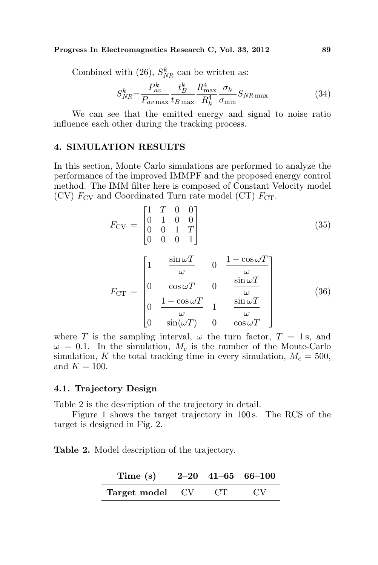#### Progress In Electromagnetics Research C, Vol. 33, 2012 89

Combined with (26),  $S_{NR}^k$  can be written as:

$$
S_{NR}^{k} = \frac{P_{av}^{k}}{P_{av \max}} \frac{t_{B}^{k}}{t_{B \max}} \frac{R_{\max}^{4}}{R_{k}^{4}} \frac{\sigma_{k}}{\sigma_{\min}} S_{NR \max}
$$
(34)

We can see that the emitted energy and signal to noise ratio influence each other during the tracking process.

#### 4. SIMULATION RESULTS

In this section, Monte Carlo simulations are performed to analyze the performance of the improved IMMPF and the proposed energy control method. The IMM filter here is composed of Constant Velocity model (CV)  $F_{\text{CV}}$  and Coordinated Turn rate model (CT)  $F_{\text{CT}}$ .

$$
F_{\rm CV} = \begin{bmatrix} 1 & T & 0 & 0 \\ 0 & 1 & 0 & 0 \\ 0 & 0 & 1 & T \\ 0 & 0 & 0 & 1 \end{bmatrix}
$$
 (35)

$$
F_{\text{CT}} = \begin{bmatrix} 1 & \frac{\sin \omega T}{\omega} & 0 & \frac{1 - \cos \omega T}{\omega} \\ 0 & \cos \omega T & 0 & \frac{\sin \omega T}{\omega} \\ 0 & \frac{1 - \cos \omega T}{\omega} & 1 & \frac{\sin \omega T}{\omega} \\ 0 & \sin(\omega T) & 0 & \cos \omega T \end{bmatrix}
$$
(36)

where T is the sampling interval,  $\omega$  the turn factor,  $T = 1$  s, and  $\omega = 0.1$ . In the simulation,  $M_c$  is the number of the Monte-Carlo simulation, K the total tracking time in every simulation,  $M_c = 500$ , and  $K = 100$ .

#### 4.1. Trajectory Design

Table 2 is the description of the trajectory in detail.

Figure 1 shows the target trajectory in 100 s. The RCS of the target is designed in Fig. 2.

Table 2. Model description of the trajectory.

| Time $(s)$      |    | $2-20$ $41-65$ $66-100$ |
|-----------------|----|-------------------------|
| Target model CV | CT | CV.                     |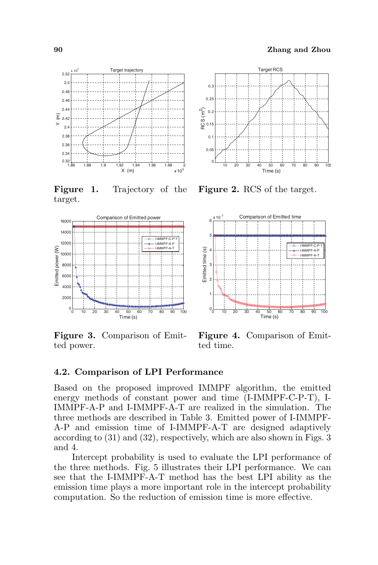

Figure 1. Trajectory of the target.



Figure 3. Comparison of Emitted power.



Figure 2. RCS of the target.



Figure 4. Comparison of Emitted time.

## 4.2. Comparison of LPI Performance

Based on the proposed improved IMMPF algorithm, the emitted energy methods of constant power and time (I-IMMPF-C-P-T), I-IMMPF-A-P and I-IMMPF-A-T are realized in the simulation. The three methods are described in Table 3. Emitted power of I-IMMPF-A-P and emission time of I-IMMPF-A-T are designed adaptively according to (31) and (32), respectively, which are also shown in Figs. 3 and 4.

Intercept probability is used to evaluate the LPI performance of the three methods. Fig. 5 illustrates their LPI performance. We can see that the I-IMMPF-A-T method has the best LPI ability as the emission time plays a more important role in the intercept probability computation. So the reduction of emission time is more effective.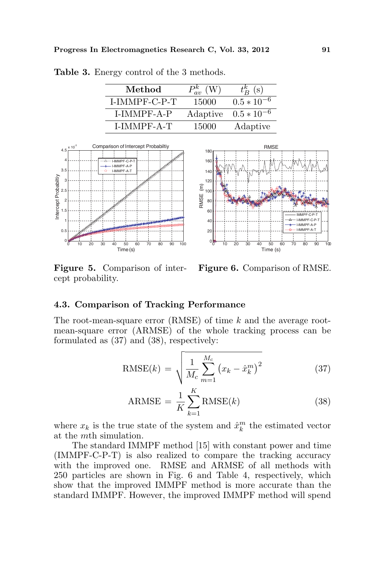| Method        | $P_{av}^{k}$ (W) | $t_{B}^{k}$ (s) |
|---------------|------------------|-----------------|
| I-IMMPF-C-P-T | 15000            | $0.5 * 10^{-6}$ |
| LIMMPF-A-P    | Adaptive         | $0.5 * 10^{-6}$ |
| LIMMPF-A-T    | 15000            | Adaptive        |

Table 3. Energy control of the 3 methods.



Figure 5. Comparison of intercept probability.



0 10 20 30 40 50 60 70 80 90 100

IMMPF-C-P-T I-IMMPF-C-P I-IMMPF-A-P I-IMMPF-A-T

Time (s)

**RMS** 

### 4.3. Comparison of Tracking Performance

The root-mean-square error (RMSE) of time k and the average rootmean-square error (ARMSE) of the whole tracking process can be formulated as (37) and (38), respectively:

RMSE (m)

RMSE(k) = 
$$
\sqrt{\frac{1}{M_c} \sum_{m=1}^{M_c} (x_k - \hat{x}_k^m)^2}
$$
 (37)

$$
ARMSE = \frac{1}{K} \sum_{k=1}^{K} RMSE(k)
$$
 (38)

where  $x_k$  is the true state of the system and  $\hat{x}_k^m$  the estimated vector at the mth simulation.

The standard IMMPF method [15] with constant power and time (IMMPF-C-P-T) is also realized to compare the tracking accuracy with the improved one. RMSE and ARMSE of all methods with 250 particles are shown in Fig. 6 and Table 4, respectively, which show that the improved IMMPF method is more accurate than the standard IMMPF. However, the improved IMMPF method will spend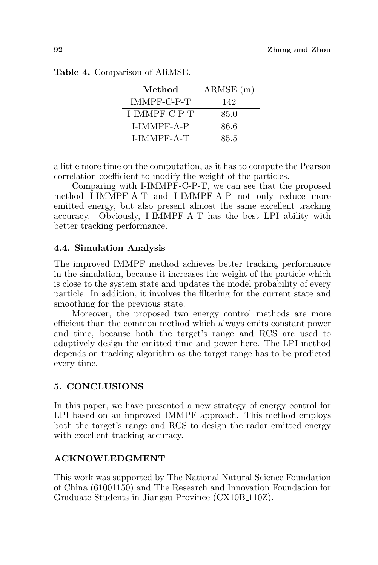| Method        | $ARMSE$ (m) |
|---------------|-------------|
| IMMPF-C-P-T   | 142         |
| I-IMMPF-C-P-T | 85.0        |
| LIMMPF-A-P    | 86.6        |
| I-IMMPF-A-T   | 85.5        |

|  | Table 4. Comparison of ARMSE. |  |  |
|--|-------------------------------|--|--|
|--|-------------------------------|--|--|

a little more time on the computation, as it has to compute the Pearson correlation coefficient to modify the weight of the particles.

Comparing with I-IMMPF-C-P-T, we can see that the proposed method I-IMMPF-A-T and I-IMMPF-A-P not only reduce more emitted energy, but also present almost the same excellent tracking accuracy. Obviously, I-IMMPF-A-T has the best LPI ability with better tracking performance.

## 4.4. Simulation Analysis

The improved IMMPF method achieves better tracking performance in the simulation, because it increases the weight of the particle which is close to the system state and updates the model probability of every particle. In addition, it involves the filtering for the current state and smoothing for the previous state.

Moreover, the proposed two energy control methods are more efficient than the common method which always emits constant power and time, because both the target's range and RCS are used to adaptively design the emitted time and power here. The LPI method depends on tracking algorithm as the target range has to be predicted every time.

## 5. CONCLUSIONS

In this paper, we have presented a new strategy of energy control for LPI based on an improved IMMPF approach. This method employs both the target's range and RCS to design the radar emitted energy with excellent tracking accuracy.

## ACKNOWLEDGMENT

This work was supported by The National Natural Science Foundation of China (61001150) and The Research and Innovation Foundation for Graduate Students in Jiangsu Province (CX10B 110Z).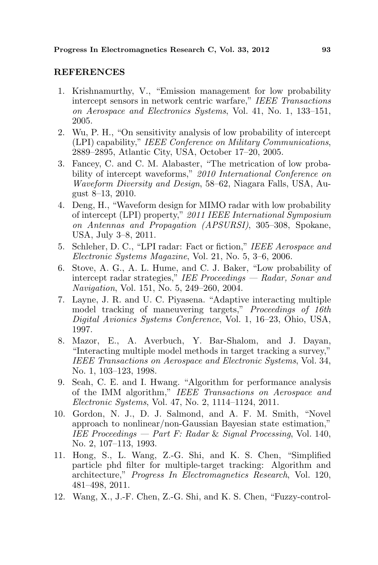## **REFERENCES**

- 1. Krishnamurthy, V., "Emission management for low probability intercept sensors in network centric warfare," IEEE Transactions on Aerospace and Electronics Systems, Vol. 41, No. 1, 133–151, 2005.
- 2. Wu, P. H., "On sensitivity analysis of low probability of intercept (LPI) capability," IEEE Conference on Military Communications, 2889–2895, Atlantic City, USA, October 17–20, 2005.
- 3. Fancey, C. and C. M. Alabaster, "The metrication of low probability of intercept waveforms," 2010 International Conference on Waveform Diversity and Design, 58–62, Niagara Falls, USA, August 8–13, 2010.
- 4. Deng, H., "Waveform design for MIMO radar with low probability of intercept (LPI) property," 2011 IEEE International Symposium on Antennas and Propagation (APSURSI), 305–308, Spokane, USA, July 3–8, 2011.
- 5. Schleher, D. C., "LPI radar: Fact or fiction," IEEE Aerospace and Electronic Systems Magazine, Vol. 21, No. 5, 3–6, 2006.
- 6. Stove, A. G., A. L. Hume, and C. J. Baker, "Low probability of intercept radar strategies," IEE Proceedings — Radar, Sonar and Navigation, Vol. 151, No. 5, 249–260, 2004.
- 7. Layne, J. R. and U. C. Piyasena. "Adaptive interacting multiple model tracking of maneuvering targets," Proceedings of 16th Digital Avionics Systems Conference, Vol. 1, 16–23, Ohio, USA, 1997.
- 8. Mazor, E., A. Averbuch, Y. Bar-Shalom, and J. Dayan, "Interacting multiple model methods in target tracking a survey," IEEE Transactions on Aerospace and Electronic Systems, Vol. 34, No. 1, 103–123, 1998.
- 9. Seah, C. E. and I. Hwang. "Algorithm for performance analysis of the IMM algorithm," IEEE Transactions on Aerospace and Electronic Systems, Vol. 47, No. 2, 1114–1124, 2011.
- 10. Gordon, N. J., D. J. Salmond, and A. F. M. Smith, "Novel approach to nonlinear/non-Gaussian Bayesian state estimation," IEE Proceedings  $-$  Part F: Radar & Signal Processing, Vol. 140, No. 2, 107–113, 1993.
- 11. Hong, S., L. Wang, Z.-G. Shi, and K. S. Chen, "Simplified particle phd filter for multiple-target tracking: Algorithm and architecture," Progress In Electromagnetics Research, Vol. 120, 481–498, 2011.
- 12. Wang, X., J.-F. Chen, Z.-G. Shi, and K. S. Chen, "Fuzzy-control-